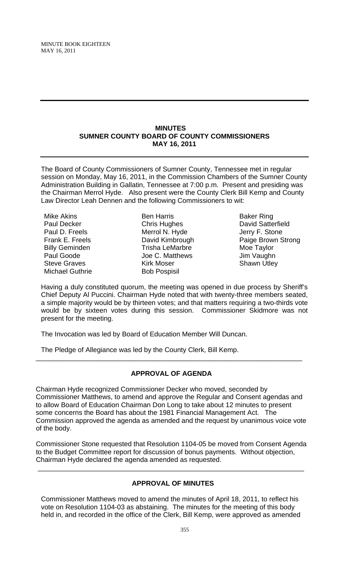#### **MINUTES SUMNER COUNTY BOARD OF COUNTY COMMISSIONERS MAY 16, 2011**

The Board of County Commissioners of Sumner County, Tennessee met in regular session on Monday, May 16, 2011, in the Commission Chambers of the Sumner County Administration Building in Gallatin, Tennessee at 7:00 p.m. Present and presiding was the Chairman Merrol Hyde. Also present were the County Clerk Bill Kemp and County Law Director Leah Dennen and the following Commissioners to wit:

Mike Akins Paul Decker Paul D. Freels Frank E. Freels Billy Geminden Paul Goode Steve Graves Michael Guthrie

Ben Harris Chris Hughes Merrol N. Hyde David Kimbrough Trisha LeMarbre Joe C. Matthews Kirk Moser Bob Pospisil

Baker Ring David Satterfield Jerry F. Stone Paige Brown Strong Moe Taylor Jim Vaughn Shawn Utley

Having a duly constituted quorum, the meeting was opened in due process by Sheriff's Chief Deputy Al Puccini. Chairman Hyde noted that with twenty-three members seated, a simple majority would be by thirteen votes; and that matters requiring a two-thirds vote would be by sixteen votes during this session. Commissioner Skidmore was not present for the meeting.

The Invocation was led by Board of Education Member Will Duncan.

The Pledge of Allegiance was led by the County Clerk, Bill Kemp.

## **APPROVAL OF AGENDA**

\_\_\_\_\_\_\_\_\_\_\_\_\_\_\_\_\_\_\_\_\_\_\_\_\_\_\_\_\_\_\_\_\_\_\_\_\_\_\_\_\_\_\_\_\_\_\_\_\_\_\_\_\_\_\_\_\_\_\_\_\_\_\_\_\_\_\_\_\_\_

Chairman Hyde recognized Commissioner Decker who moved, seconded by Commissioner Matthews, to amend and approve the Regular and Consent agendas and to allow Board of Education Chairman Don Long to take about 12 minutes to present some concerns the Board has about the 1981 Financial Management Act. The Commission approved the agenda as amended and the request by unanimous voice vote of the body.

Commissioner Stone requested that Resolution 1104-05 be moved from Consent Agenda to the Budget Committee report for discussion of bonus payments. Without objection, Chairman Hyde declared the agenda amended as requested.

\_\_\_\_\_\_\_\_\_\_\_\_\_\_\_\_\_\_\_\_\_\_\_\_\_\_\_\_\_\_\_\_\_\_\_\_\_\_\_\_\_\_\_\_\_\_\_\_\_\_\_\_\_\_\_\_\_\_\_\_\_\_\_\_\_\_\_\_\_\_

## **APPROVAL OF MINUTES**

Commissioner Matthews moved to amend the minutes of April 18, 2011, to reflect his vote on Resolution 1104-03 as abstaining. The minutes for the meeting of this body held in, and recorded in the office of the Clerk, Bill Kemp, were approved as amended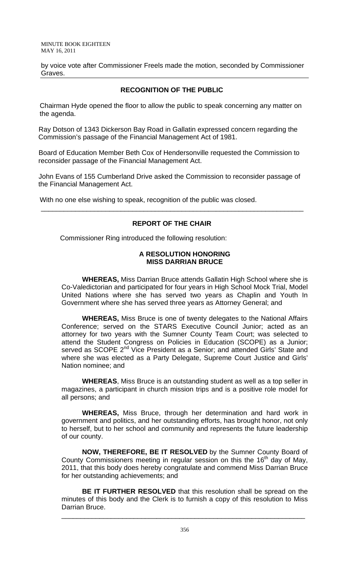by voice vote after Commissioner Freels made the motion, seconded by Commissioner Graves.

## **RECOGNITION OF THE PUBLIC**

 Chairman Hyde opened the floor to allow the public to speak concerning any matter on the agenda.

Ray Dotson of 1343 Dickerson Bay Road in Gallatin expressed concern regarding the Commission's passage of the Financial Management Act of 1981.

Board of Education Member Beth Cox of Hendersonville requested the Commission to reconsider passage of the Financial Management Act.

John Evans of 155 Cumberland Drive asked the Commission to reconsider passage of the Financial Management Act.

With no one else wishing to speak, recognition of the public was closed.

### **REPORT OF THE CHAIR**

\_\_\_\_\_\_\_\_\_\_\_\_\_\_\_\_\_\_\_\_\_\_\_\_\_\_\_\_\_\_\_\_\_\_\_\_\_\_\_\_\_\_\_\_\_\_\_\_\_\_\_\_\_\_\_\_\_\_\_\_\_\_\_\_\_\_\_\_\_

Commissioner Ring introduced the following resolution:

### **A RESOLUTION HONORING MISS DARRIAN BRUCE**

 **WHEREAS,** Miss Darrian Bruce attends Gallatin High School where she is Co-Valedictorian and participated for four years in High School Mock Trial, Model United Nations where she has served two years as Chaplin and Youth In Government where she has served three years as Attorney General; and

**WHEREAS,** Miss Bruce is one of twenty delegates to the National Affairs Conference; served on the STARS Executive Council Junior; acted as an attorney for two years with the Sumner County Team Court; was selected to attend the Student Congress on Policies in Education (SCOPE) as a Junior; served as SCOPE 2<sup>nd</sup> Vice President as a Senior; and attended Girls' State and where she was elected as a Party Delegate, Supreme Court Justice and Girls' Nation nominee; and

**WHEREAS**, Miss Bruce is an outstanding student as well as a top seller in magazines, a participant in church mission trips and is a positive role model for all persons; and

**WHEREAS,** Miss Bruce, through her determination and hard work in government and politics, and her outstanding efforts, has brought honor, not only to herself, but to her school and community and represents the future leadership of our county.

**NOW, THEREFORE, BE IT RESOLVED** by the Sumner County Board of County Commissioners meeting in regular session on this the  $16<sup>th</sup>$  day of May, 2011, that this body does hereby congratulate and commend Miss Darrian Bruce for her outstanding achievements; and

**BE IT FURTHER RESOLVED** that this resolution shall be spread on the minutes of this body and the Clerk is to furnish a copy of this resolution to Miss Darrian Bruce.

\_\_\_\_\_\_\_\_\_\_\_\_\_\_\_\_\_\_\_\_\_\_\_\_\_\_\_\_\_\_\_\_\_\_\_\_\_\_\_\_\_\_\_\_\_\_\_\_\_\_\_\_\_\_\_\_\_\_\_\_\_\_\_\_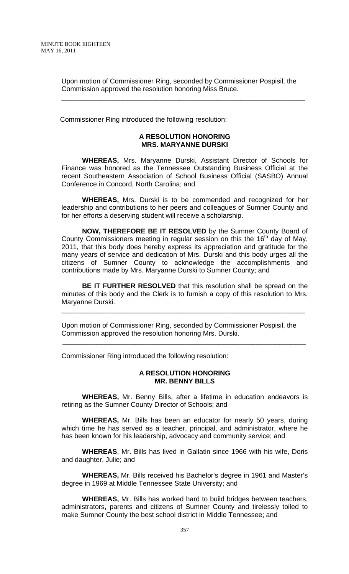Upon motion of Commissioner Ring, seconded by Commissioner Pospisil, the Commission approved the resolution honoring Miss Bruce.

\_\_\_\_\_\_\_\_\_\_\_\_\_\_\_\_\_\_\_\_\_\_\_\_\_\_\_\_\_\_\_\_\_\_\_\_\_\_\_\_\_\_\_\_\_\_\_\_\_\_\_\_\_\_\_\_\_\_\_\_\_\_\_\_

Commissioner Ring introduced the following resolution:

### **A RESOLUTION HONORING MRS. MARYANNE DURSKI**

 **WHEREAS,** Mrs. Maryanne Durski, Assistant Director of Schools for Finance was honored as the Tennessee Outstanding Business Official at the recent Southeastern Association of School Business Official (SASBO) Annual Conference in Concord, North Carolina; and

**WHEREAS,** Mrs. Durski is to be commended and recognized for her leadership and contributions to her peers and colleagues of Sumner County and for her efforts a deserving student will receive a scholarship.

**NOW, THEREFORE BE IT RESOLVED** by the Sumner County Board of County Commissioners meeting in regular session on this the  $16<sup>th</sup>$  day of May, 2011, that this body does hereby express its appreciation and gratitude for the many years of service and dedication of Mrs. Durski and this body urges all the citizens of Sumner County to acknowledge the accomplishments and contributions made by Mrs. Maryanne Durski to Sumner County; and

**BE IT FURTHER RESOLVED** that this resolution shall be spread on the minutes of this body and the Clerk is to furnish a copy of this resolution to Mrs. Maryanne Durski.

\_\_\_\_\_\_\_\_\_\_\_\_\_\_\_\_\_\_\_\_\_\_\_\_\_\_\_\_\_\_\_\_\_\_\_\_\_\_\_\_\_\_\_\_\_\_\_\_\_\_\_\_\_\_\_\_\_\_\_\_\_\_\_\_

Upon motion of Commissioner Ring, seconded by Commissioner Pospisil, the Commission approved the resolution honoring Mrs. Durski.

\_\_\_\_\_\_\_\_\_\_\_\_\_\_\_\_\_\_\_\_\_\_\_\_\_\_\_\_\_\_\_\_\_\_\_\_\_\_\_\_\_\_\_\_\_\_\_\_\_\_\_\_\_\_\_\_\_\_\_\_\_\_\_\_

Commissioner Ring introduced the following resolution:

### **A RESOLUTION HONORING MR. BENNY BILLS**

 **WHEREAS,** Mr. Benny Bills, after a lifetime in education endeavors is retiring as the Sumner County Director of Schools; and

**WHEREAS,** Mr. Bills has been an educator for nearly 50 years, during which time he has served as a teacher, principal, and administrator, where he has been known for his leadership, advocacy and community service; and

**WHEREAS**, Mr. Bills has lived in Gallatin since 1966 with his wife, Doris and daughter, Julie; and

**WHEREAS,** Mr. Bills received his Bachelor's degree in 1961 and Master's degree in 1969 at Middle Tennessee State University; and

**WHEREAS,** Mr. Bills has worked hard to build bridges between teachers, administrators, parents and citizens of Sumner County and tirelessly toiled to make Sumner County the best school district in Middle Tennessee; and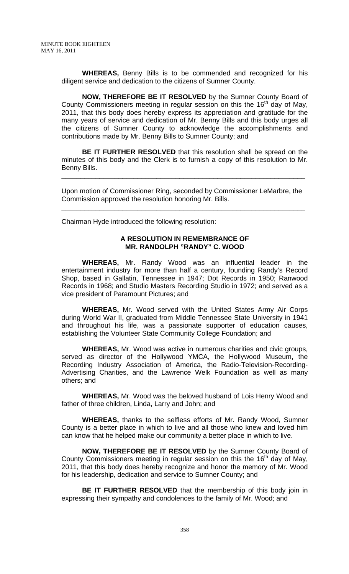**WHEREAS,** Benny Bills is to be commended and recognized for his diligent service and dedication to the citizens of Sumner County.

**NOW, THEREFORE BE IT RESOLVED** by the Sumner County Board of County Commissioners meeting in regular session on this the 16<sup>th</sup> day of May, 2011, that this body does hereby express its appreciation and gratitude for the many years of service and dedication of Mr. Benny Bills and this body urges all the citizens of Sumner County to acknowledge the accomplishments and contributions made by Mr. Benny Bills to Sumner County; and

**BE IT FURTHER RESOLVED** that this resolution shall be spread on the minutes of this body and the Clerk is to furnish a copy of this resolution to Mr. Benny Bills.

\_\_\_\_\_\_\_\_\_\_\_\_\_\_\_\_\_\_\_\_\_\_\_\_\_\_\_\_\_\_\_\_\_\_\_\_\_\_\_\_\_\_\_\_\_\_\_\_\_\_\_\_\_\_\_\_\_\_\_\_\_\_\_\_

Upon motion of Commissioner Ring, seconded by Commissioner LeMarbre, the Commission approved the resolution honoring Mr. Bills.

\_\_\_\_\_\_\_\_\_\_\_\_\_\_\_\_\_\_\_\_\_\_\_\_\_\_\_\_\_\_\_\_\_\_\_\_\_\_\_\_\_\_\_\_\_\_\_\_\_\_\_\_\_\_\_\_\_\_\_\_\_\_\_\_

Chairman Hyde introduced the following resolution:

### **A RESOLUTION IN REMEMBRANCE OF MR. RANDOLPH "RANDY" C. WOOD**

 **WHEREAS,** Mr. Randy Wood was an influential leader in the entertainment industry for more than half a century, founding Randy's Record Shop, based in Gallatin, Tennessee in 1947; Dot Records in 1950; Ranwood Records in 1968; and Studio Masters Recording Studio in 1972; and served as a vice president of Paramount Pictures; and

**WHEREAS,** Mr. Wood served with the United States Army Air Corps during World War II, graduated from Middle Tennessee State University in 1941 and throughout his life, was a passionate supporter of education causes, establishing the Volunteer State Community College Foundation; and

**WHEREAS,** Mr. Wood was active in numerous charities and civic groups, served as director of the Hollywood YMCA, the Hollywood Museum, the Recording Industry Association of America, the Radio-Television-Recording-Advertising Charities, and the Lawrence Welk Foundation as well as many others; and

**WHEREAS,** Mr. Wood was the beloved husband of Lois Henry Wood and father of three children, Linda, Larry and John; and

**WHEREAS,** thanks to the selfless efforts of Mr. Randy Wood, Sumner County is a better place in which to live and all those who knew and loved him can know that he helped make our community a better place in which to live.

**NOW, THEREFORE BE IT RESOLVED** by the Sumner County Board of County Commissioners meeting in regular session on this the  $16<sup>th</sup>$  day of May, 2011, that this body does hereby recognize and honor the memory of Mr. Wood for his leadership, dedication and service to Sumner County; and

**BE IT FURTHER RESOLVED** that the membership of this body join in expressing their sympathy and condolences to the family of Mr. Wood; and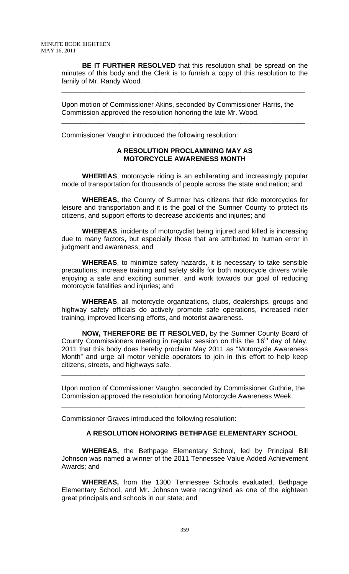**BE IT FURTHER RESOLVED** that this resolution shall be spread on the minutes of this body and the Clerk is to furnish a copy of this resolution to the family of Mr. Randy Wood.

\_\_\_\_\_\_\_\_\_\_\_\_\_\_\_\_\_\_\_\_\_\_\_\_\_\_\_\_\_\_\_\_\_\_\_\_\_\_\_\_\_\_\_\_\_\_\_\_\_\_\_\_\_\_\_\_\_\_\_\_\_\_\_\_

\_\_\_\_\_\_\_\_\_\_\_\_\_\_\_\_\_\_\_\_\_\_\_\_\_\_\_\_\_\_\_\_\_\_\_\_\_\_\_\_\_\_\_\_\_\_\_\_\_\_\_\_\_\_\_\_\_\_\_\_\_\_\_\_

Upon motion of Commissioner Akins, seconded by Commissioner Harris, the Commission approved the resolution honoring the late Mr. Wood.

Commissioner Vaughn introduced the following resolution:

### **A RESOLUTION PROCLAMINING MAY AS MOTORCYCLE AWARENESS MONTH**

**WHEREAS**, motorcycle riding is an exhilarating and increasingly popular mode of transportation for thousands of people across the state and nation; and

**WHEREAS,** the County of Sumner has citizens that ride motorcycles for leisure and transportation and it is the goal of the Sumner County to protect its citizens, and support efforts to decrease accidents and injuries; and

 **WHEREAS**, incidents of motorcyclist being injured and killed is increasing due to many factors, but especially those that are attributed to human error in judgment and awareness; and

 **WHEREAS**, to minimize safety hazards, it is necessary to take sensible precautions, increase training and safety skills for both motorcycle drivers while enjoying a safe and exciting summer, and work towards our goal of reducing motorcycle fatalities and injuries; and

 **WHEREAS**, all motorcycle organizations, clubs, dealerships, groups and highway safety officials do actively promote safe operations, increased rider training, improved licensing efforts, and motorist awareness.

 **NOW, THEREFORE BE IT RESOLVED,** by the Sumner County Board of County Commissioners meeting in regular session on this the  $16<sup>th</sup>$  day of May, 2011 that this body does hereby proclaim May 2011 as "Motorcycle Awareness Month" and urge all motor vehicle operators to join in this effort to help keep citizens, streets, and highways safe.

Upon motion of Commissioner Vaughn, seconded by Commissioner Guthrie, the Commission approved the resolution honoring Motorcycle Awareness Week.

\_\_\_\_\_\_\_\_\_\_\_\_\_\_\_\_\_\_\_\_\_\_\_\_\_\_\_\_\_\_\_\_\_\_\_\_\_\_\_\_\_\_\_\_\_\_\_\_\_\_\_\_\_\_\_\_\_\_\_\_\_\_\_\_

\_\_\_\_\_\_\_\_\_\_\_\_\_\_\_\_\_\_\_\_\_\_\_\_\_\_\_\_\_\_\_\_\_\_\_\_\_\_\_\_\_\_\_\_\_\_\_\_\_\_\_\_\_\_\_\_\_\_\_\_\_\_\_\_

Commissioner Graves introduced the following resolution:

### **A RESOLUTION HONORING BETHPAGE ELEMENTARY SCHOOL**

 **WHEREAS,** the Bethpage Elementary School, led by Principal Bill Johnson was named a winner of the 2011 Tennessee Value Added Achievement Awards; and

**WHEREAS,** from the 1300 Tennessee Schools evaluated, Bethpage Elementary School, and Mr. Johnson were recognized as one of the eighteen great principals and schools in our state; and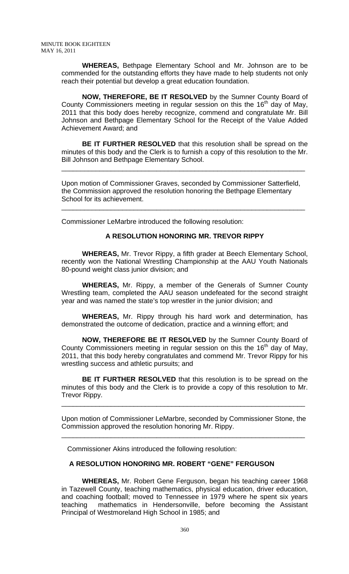**WHEREAS,** Bethpage Elementary School and Mr. Johnson are to be commended for the outstanding efforts they have made to help students not only reach their potential but develop a great education foundation.

**NOW, THEREFORE, BE IT RESOLVED** by the Sumner County Board of County Commissioners meeting in regular session on this the  $16<sup>th</sup>$  day of May, 2011 that this body does hereby recognize, commend and congratulate Mr. Bill Johnson and Bethpage Elementary School for the Receipt of the Value Added Achievement Award; and

**BE IT FURTHER RESOLVED** that this resolution shall be spread on the minutes of this body and the Clerk is to furnish a copy of this resolution to the Mr. Bill Johnson and Bethpage Elementary School.

\_\_\_\_\_\_\_\_\_\_\_\_\_\_\_\_\_\_\_\_\_\_\_\_\_\_\_\_\_\_\_\_\_\_\_\_\_\_\_\_\_\_\_\_\_\_\_\_\_\_\_\_\_\_\_\_\_\_\_\_\_\_\_\_

Upon motion of Commissioner Graves, seconded by Commissioner Satterfield, the Commission approved the resolution honoring the Bethpage Elementary School for its achievement.

\_\_\_\_\_\_\_\_\_\_\_\_\_\_\_\_\_\_\_\_\_\_\_\_\_\_\_\_\_\_\_\_\_\_\_\_\_\_\_\_\_\_\_\_\_\_\_\_\_\_\_\_\_\_\_\_\_\_\_\_\_\_\_\_

Commissioner LeMarbre introduced the following resolution:

### **A RESOLUTION HONORING MR. TREVOR RIPPY**

 **WHEREAS,** Mr. Trevor Rippy, a fifth grader at Beech Elementary School, recently won the National Wrestling Championship at the AAU Youth Nationals 80-pound weight class junior division; and

**WHEREAS,** Mr. Rippy, a member of the Generals of Sumner County Wrestling team, completed the AAU season undefeated for the second straight year and was named the state's top wrestler in the junior division; and

**WHEREAS,** Mr. Rippy through his hard work and determination, has demonstrated the outcome of dedication, practice and a winning effort; and

**NOW, THEREFORE BE IT RESOLVED** by the Sumner County Board of County Commissioners meeting in regular session on this the  $16<sup>th</sup>$  day of May, 2011, that this body hereby congratulates and commend Mr. Trevor Rippy for his wrestling success and athletic pursuits; and

**BE IT FURTHER RESOLVED** that this resolution is to be spread on the minutes of this body and the Clerk is to provide a copy of this resolution to Mr. Trevor Rippy.

Upon motion of Commissioner LeMarbre, seconded by Commissioner Stone, the Commission approved the resolution honoring Mr. Rippy.

\_\_\_\_\_\_\_\_\_\_\_\_\_\_\_\_\_\_\_\_\_\_\_\_\_\_\_\_\_\_\_\_\_\_\_\_\_\_\_\_\_\_\_\_\_\_\_\_\_\_\_\_\_\_\_\_\_\_\_\_\_\_\_\_

\_\_\_\_\_\_\_\_\_\_\_\_\_\_\_\_\_\_\_\_\_\_\_\_\_\_\_\_\_\_\_\_\_\_\_\_\_\_\_\_\_\_\_\_\_\_\_\_\_\_\_\_\_\_\_\_\_\_\_\_\_\_\_\_

Commissioner Akins introduced the following resolution:

## **A RESOLUTION HONORING MR. ROBERT "GENE" FERGUSON**

 **WHEREAS,** Mr. Robert Gene Ferguson, began his teaching career 1968 in Tazewell County, teaching mathematics, physical education, driver education, and coaching football; moved to Tennessee in 1979 where he spent six years teaching mathematics in Hendersonville, before becoming the Assistant Principal of Westmoreland High School in 1985; and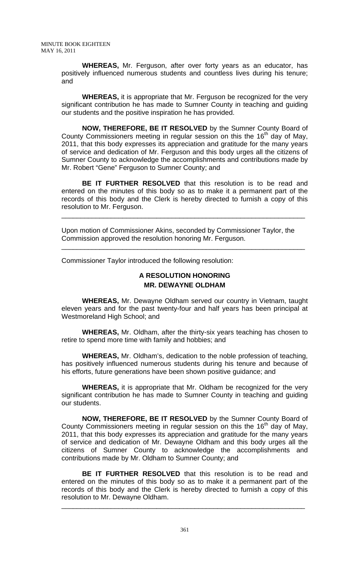**WHEREAS,** Mr. Ferguson, after over forty years as an educator, has positively influenced numerous students and countless lives during his tenure; and

**WHEREAS,** it is appropriate that Mr. Ferguson be recognized for the very significant contribution he has made to Sumner County in teaching and guiding our students and the positive inspiration he has provided.

**NOW, THEREFORE, BE IT RESOLVED** by the Sumner County Board of County Commissioners meeting in regular session on this the  $16<sup>th</sup>$  day of May, 2011, that this body expresses its appreciation and gratitude for the many years of service and dedication of Mr. Ferguson and this body urges all the citizens of Sumner County to acknowledge the accomplishments and contributions made by Mr. Robert "Gene" Ferguson to Sumner County; and

**BE IT FURTHER RESOLVED** that this resolution is to be read and entered on the minutes of this body so as to make it a permanent part of the records of this body and the Clerk is hereby directed to furnish a copy of this resolution to Mr. Ferguson.

\_\_\_\_\_\_\_\_\_\_\_\_\_\_\_\_\_\_\_\_\_\_\_\_\_\_\_\_\_\_\_\_\_\_\_\_\_\_\_\_\_\_\_\_\_\_\_\_\_\_\_\_\_\_\_\_\_\_\_\_\_\_\_\_

\_\_\_\_\_\_\_\_\_\_\_\_\_\_\_\_\_\_\_\_\_\_\_\_\_\_\_\_\_\_\_\_\_\_\_\_\_\_\_\_\_\_\_\_\_\_\_\_\_\_\_\_\_\_\_\_\_\_\_\_\_\_\_\_

Upon motion of Commissioner Akins, seconded by Commissioner Taylor, the Commission approved the resolution honoring Mr. Ferguson.

Commissioner Taylor introduced the following resolution:

# **A RESOLUTION HONORING MR. DEWAYNE OLDHAM**

 **WHEREAS,** Mr. Dewayne Oldham served our country in Vietnam, taught eleven years and for the past twenty-four and half years has been principal at Westmoreland High School; and

**WHEREAS,** Mr. Oldham, after the thirty-six years teaching has chosen to retire to spend more time with family and hobbies; and

**WHEREAS,** Mr. Oldham's, dedication to the noble profession of teaching, has positively influenced numerous students during his tenure and because of his efforts, future generations have been shown positive guidance; and

**WHEREAS,** it is appropriate that Mr. Oldham be recognized for the very significant contribution he has made to Sumner County in teaching and guiding our students.

**NOW, THEREFORE, BE IT RESOLVED** by the Sumner County Board of County Commissioners meeting in regular session on this the  $16<sup>th</sup>$  day of May, 2011, that this body expresses its appreciation and gratitude for the many years of service and dedication of Mr. Dewayne Oldham and this body urges all the citizens of Sumner County to acknowledge the accomplishments and contributions made by Mr. Oldham to Sumner County; and

**BE IT FURTHER RESOLVED** that this resolution is to be read and entered on the minutes of this body so as to make it a permanent part of the records of this body and the Clerk is hereby directed to furnish a copy of this resolution to Mr. Dewayne Oldham.

\_\_\_\_\_\_\_\_\_\_\_\_\_\_\_\_\_\_\_\_\_\_\_\_\_\_\_\_\_\_\_\_\_\_\_\_\_\_\_\_\_\_\_\_\_\_\_\_\_\_\_\_\_\_\_\_\_\_\_\_\_\_\_\_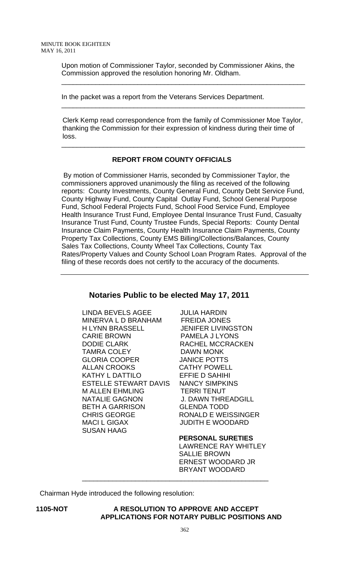Upon motion of Commissioner Taylor, seconded by Commissioner Akins, the Commission approved the resolution honoring Mr. Oldham.

\_\_\_\_\_\_\_\_\_\_\_\_\_\_\_\_\_\_\_\_\_\_\_\_\_\_\_\_\_\_\_\_\_\_\_\_\_\_\_\_\_\_\_\_\_\_\_\_\_\_\_\_\_\_\_\_\_\_\_\_\_\_\_\_

\_\_\_\_\_\_\_\_\_\_\_\_\_\_\_\_\_\_\_\_\_\_\_\_\_\_\_\_\_\_\_\_\_\_\_\_\_\_\_\_\_\_\_\_\_\_\_\_\_\_\_\_\_\_\_\_\_\_\_\_\_\_\_\_

In the packet was a report from the Veterans Services Department.

Clerk Kemp read correspondence from the family of Commissioner Moe Taylor, thanking the Commission for their expression of kindness during their time of loss.

\_\_\_\_\_\_\_\_\_\_\_\_\_\_\_\_\_\_\_\_\_\_\_\_\_\_\_\_\_\_\_\_\_\_\_\_\_\_\_\_\_\_\_\_\_\_\_\_\_\_\_\_\_\_\_\_\_\_\_\_\_\_\_\_

### **REPORT FROM COUNTY OFFICIALS**

 By motion of Commissioner Harris, seconded by Commissioner Taylor, the commissioners approved unanimously the filing as received of the following reports: County Investments, County General Fund, County Debt Service Fund, County Highway Fund, County Capital Outlay Fund, School General Purpose Fund, School Federal Projects Fund, School Food Service Fund, Employee Health Insurance Trust Fund, Employee Dental Insurance Trust Fund, Casualty Insurance Trust Fund, County Trustee Funds, Special Reports: County Dental Insurance Claim Payments, County Health Insurance Claim Payments, County Property Tax Collections, County EMS Billing/Collections/Balances, County Sales Tax Collections, County Wheel Tax Collections, County Tax Rates/Property Values and County School Loan Program Rates. Approval of the filing of these records does not certify to the accuracy of the documents.

# **Notaries Public to be elected May 17, 2011**

LINDA BEVELS AGEE JULIA HARDIN MINERVA L D BRANHAM FREIDA JONES<br>H LYNN BRASSELL JENIFER LIVING CARIE BROWN PAMELA J LYONS DODIE CLARK RACHEL MCCRACKEN TAMRA COLEY DAWN MONK GLORIA COOPER JANICE POTTS ALLAN CROOKS CATHY POWELL KATHY L DATTILO EFFIE D SAHIHI ESTELLE STEWART DAVIS NANCY SIMPKINS M ALLEN EHMLING TERRI TENUT NATALIE GAGNON J. DAWN THREADGILL BETH A GARRISON GLENDA TODD CHRIS GEORGE RONALD E WEISSINGER MACI L GIGAX JUDITH E WOODARD SUSAN HAAG

**JENIFER LIVINGSTON** 

**PERSONAL SURETIES** 

 LAWRENCE RAY WHITLEY SALLIE BROWN ERNEST WOODARD JR BRYANT WOODARD

Chairman Hyde introduced the following resolution:

**1105-NOT A RESOLUTION TO APPROVE AND ACCEPT APPLICATIONS FOR NOTARY PUBLIC POSITIONS AND** 

\_\_\_\_\_\_\_\_\_\_\_\_\_\_\_\_\_\_\_\_\_\_\_\_\_\_\_\_\_\_\_\_\_\_\_\_\_\_\_\_\_\_\_\_\_\_\_\_\_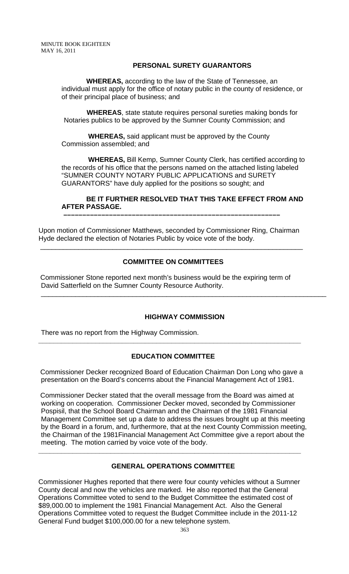## **PERSONAL SURETY GUARANTORS**

 **WHEREAS,** according to the law of the State of Tennessee, an individual must apply for the office of notary public in the county of residence, or of their principal place of business; and

 **WHEREAS**, state statute requires personal sureties making bonds for Notaries publics to be approved by the Sumner County Commission; and

 **WHEREAS,** said applicant must be approved by the County Commission assembled; and

 **WHEREAS,** Bill Kemp, Sumner County Clerk, has certified according to the records of his office that the persons named on the attached listing labeled "SUMNER COUNTY NOTARY PUBLIC APPLICATIONS and SURETY GUARANTORS" have duly applied for the positions so sought; and

## **BE IT FURTHER RESOLVED THAT THIS TAKE EFFECT FROM AND AFTER PASSAGE.**

Upon motion of Commissioner Matthews, seconded by Commissioner Ring, Chairman Hyde declared the election of Notaries Public by voice vote of the body.

\_\_\_\_\_\_\_\_\_\_\_\_\_\_\_\_\_\_\_\_\_\_\_\_\_\_\_\_\_\_\_\_\_\_\_\_\_\_\_\_\_\_\_\_\_\_\_\_\_\_\_\_\_\_\_\_\_\_\_\_\_\_\_\_\_\_\_\_\_

 **–––––––––––––––––––––––––––––––––––––––––––––––––––––––––**

# **COMMITTEE ON COMMITTEES**

Commissioner Stone reported next month's business would be the expiring term of David Satterfield on the Sumner County Resource Authority.

### **HIGHWAY COMMISSION**

\_\_\_\_\_\_\_\_\_\_\_\_\_\_\_\_\_\_\_\_\_\_\_\_\_\_\_\_\_\_\_\_\_\_\_\_\_\_\_\_\_\_\_\_\_\_\_\_\_\_\_\_\_\_\_\_\_\_\_\_\_\_\_\_\_\_\_\_\_\_\_\_\_\_\_

There was no report from the Highway Commission.

### **EDUCATION COMMITTEE**

**\_\_\_\_\_\_\_\_\_\_\_\_\_\_\_\_\_\_\_\_\_\_\_\_\_\_\_\_\_\_\_\_\_\_\_\_\_\_\_\_\_\_\_\_\_\_\_\_\_\_\_\_\_\_\_\_\_\_\_\_\_\_\_\_\_\_\_\_\_** 

 Commissioner Decker recognized Board of Education Chairman Don Long who gave a presentation on the Board's concerns about the Financial Management Act of 1981.

 Commissioner Decker stated that the overall message from the Board was aimed at working on cooperation. Commissioner Decker moved, seconded by Commissioner Pospisil, that the School Board Chairman and the Chairman of the 1981 Financial Management Committee set up a date to address the issues brought up at this meeting by the Board in a forum, and, furthermore, that at the next County Commission meeting, the Chairman of the 1981Financial Management Act Committee give a report about the meeting. The motion carried by voice vote of the body.

## **GENERAL OPERATIONS COMMITTEE**

**\_\_\_\_\_\_\_\_\_\_\_\_\_\_\_\_\_\_\_\_\_\_\_\_\_\_\_\_\_\_\_\_\_\_\_\_\_\_\_\_\_\_\_\_\_\_\_\_\_\_\_\_\_\_\_\_\_\_\_\_\_\_\_\_\_\_\_\_\_** 

Commissioner Hughes reported that there were four county vehicles without a Sumner County decal and now the vehicles are marked. He also reported that the General Operations Committee voted to send to the Budget Committee the estimated cost of \$89,000.00 to implement the 1981 Financial Management Act. Also the General Operations Committee voted to request the Budget Committee include in the 2011-12 General Fund budget \$100,000.00 for a new telephone system.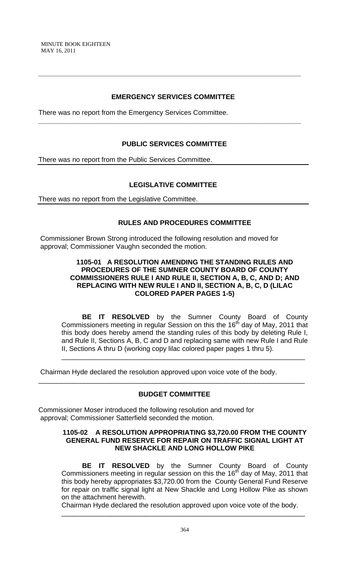# **EMERGENCY SERVICES COMMITTEE**

**\_\_\_\_\_\_\_\_\_\_\_\_\_\_\_\_\_\_\_\_\_\_\_\_\_\_\_\_\_\_\_\_\_\_\_\_\_\_\_\_\_\_\_\_\_\_\_\_\_\_\_\_\_\_\_\_\_\_\_\_\_\_\_\_\_\_\_\_\_** 

**\_\_\_\_\_\_\_\_\_\_\_\_\_\_\_\_\_\_\_\_\_\_\_\_\_\_\_\_\_\_\_\_\_\_\_\_\_\_\_\_\_\_\_\_\_\_\_\_\_\_\_\_\_\_\_\_\_\_\_\_\_\_\_\_\_\_\_\_\_** 

There was no report from the Emergency Services Committee.

# **PUBLIC SERVICES COMMITTEE**

There was no report from the Public Services Committee.

# **LEGISLATIVE COMMITTEE**

There was no report from the Legislative Committee.

## **RULES AND PROCEDURES COMMITTEE**

 Commissioner Brown Strong introduced the following resolution and moved for approval; Commissioner Vaughn seconded the motion.

### **1105-01 A RESOLUTION AMENDING THE STANDING RULES AND PROCEDURES OF THE SUMNER COUNTY BOARD OF COUNTY COMMISSIONERS RULE I AND RULE II, SECTION A, B, C, AND D; AND REPLACING WITH NEW RULE I AND II, SECTION A, B, C, D (LILAC COLORED PAPER PAGES 1-5)**

**BE IT RESOLVED** by the Sumner County Board of County Commissioners meeting in regular Session on this the 16<sup>th</sup> day of May, 2011 that this body does hereby amend the standing rules of this body by deleting Rule I, and Rule II, Sections A, B, C and D and replacing same with new Rule I and Rule II, Sections A thru D (working copy lilac colored paper pages 1 thru 5).

\_\_\_\_\_\_\_\_\_\_\_\_\_\_\_\_\_\_\_\_\_\_\_\_\_\_\_\_\_\_\_\_\_\_\_\_\_\_\_\_\_\_\_\_\_\_\_\_\_\_\_\_\_\_\_\_\_\_\_\_\_\_\_\_

Chairman Hyde declared the resolution approved upon voice vote of the body.

### **BUDGET COMMITTEE**

\_\_\_\_\_\_\_\_\_\_\_\_\_\_\_\_\_\_\_\_\_\_\_\_\_\_\_\_\_\_\_\_\_\_\_\_\_\_\_\_\_\_\_\_\_\_\_\_\_\_\_\_\_\_\_\_\_\_\_\_\_\_\_\_\_\_\_\_\_\_

Commissioner Moser introduced the following resolution and moved for approval; Commissioner Satterfield seconded the motion.

### **1105-02 A RESOLUTION APPROPRIATING \$3,720.00 FROM THE COUNTY GENERAL FUND RESERVE FOR REPAIR ON TRAFFIC SIGNAL LIGHT AT NEW SHACKLE AND LONG HOLLOW PIKE**

 **BE IT RESOLVED** by the Sumner County Board of County Commissioners meeting in regular session on this the  $16<sup>th</sup>$  day of May, 2011 that this body hereby appropriates \$3,720.00 from the County General Fund Reserve for repair on traffic signal light at New Shackle and Long Hollow Pike as shown on the attachment herewith.

Chairman Hyde declared the resolution approved upon voice vote of the body. \_\_\_\_\_\_\_\_\_\_\_\_\_\_\_\_\_\_\_\_\_\_\_\_\_\_\_\_\_\_\_\_\_\_\_\_\_\_\_\_\_\_\_\_\_\_\_\_\_\_\_\_\_\_\_\_\_\_\_\_\_\_\_\_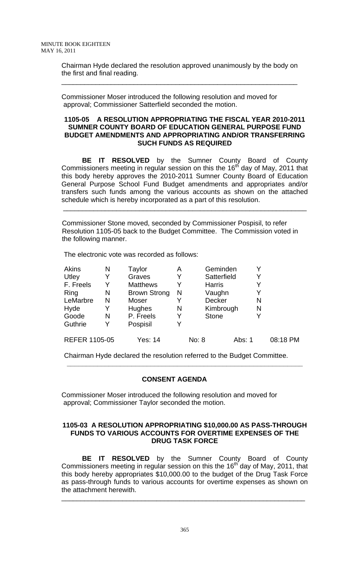Chairman Hyde declared the resolution approved unanimously by the body on the first and final reading.

\_\_\_\_\_\_\_\_\_\_\_\_\_\_\_\_\_\_\_\_\_\_\_\_\_\_\_\_\_\_\_\_\_\_\_\_\_\_\_\_\_\_\_\_\_\_\_\_\_\_\_\_\_\_\_\_\_\_\_\_\_\_

Commissioner Moser introduced the following resolution and moved for approval; Commissioner Satterfield seconded the motion.

### **1105-05 A RESOLUTION APPROPRIATING THE FISCAL YEAR 2010-2011 SUMNER COUNTY BOARD OF EDUCATION GENERAL PURPOSE FUND BUDGET AMENDMENTS AND APPROPRIATING AND/OR TRANSFERRING SUCH FUNDS AS REQUIRED**

 **BE IT RESOLVED** by the Sumner County Board of County Commissioners meeting in regular session on this the 16<sup>th</sup> day of May, 2011 that this body hereby approves the 2010-2011 Sumner County Board of Education General Purpose School Fund Budget amendments and appropriates and/or transfers such funds among the various accounts as shown on the attached schedule which is hereby incorporated as a part of this resolution.

Commissioner Stone moved, seconded by Commissioner Pospisil, to refer Resolution 1105-05 back to the Budget Committee. The Commission voted in the following manner.

\_\_\_\_\_\_\_\_\_\_\_\_\_\_\_\_\_\_\_\_\_\_\_\_\_\_\_\_\_\_\_\_\_\_\_\_\_\_\_\_\_\_\_\_\_\_\_\_\_\_\_\_\_\_\_\_\_\_\_\_\_\_\_\_

The electronic vote was recorded as follows:

| <b>Akins</b>         | N | Taylor              | Α | Geminden      |        |   |          |
|----------------------|---|---------------------|---|---------------|--------|---|----------|
| Utley                | Y | Graves              |   | Satterfield   |        |   |          |
| F. Freels            | Y | <b>Matthews</b>     |   | <b>Harris</b> |        |   |          |
| Ring                 | N | <b>Brown Strong</b> | N | Vaughn        |        | Y |          |
| LeMarbre             | N | Moser               |   | <b>Decker</b> |        | N |          |
| Hyde                 | Y | <b>Hughes</b>       | N | Kimbrough     |        | N |          |
| Goode                | N | P. Freels           | Y | <b>Stone</b>  |        |   |          |
| Guthrie              | Y | Pospisil            | Y |               |        |   |          |
| <b>REFER 1105-05</b> |   | Yes: 14             |   | No: 8         | Abs: 1 |   | 08:18 PM |

Chairman Hyde declared the resolution referred to the Budget Committee.  **\_\_\_\_\_\_\_\_\_\_\_\_\_\_\_\_\_\_\_\_\_\_\_\_\_\_\_\_\_\_\_\_\_\_\_\_\_\_\_\_\_\_\_\_\_\_\_\_\_\_\_\_\_\_\_\_\_\_\_\_\_\_** 

### **CONSENT AGENDA**

Commissioner Moser introduced the following resolution and moved for approval; Commissioner Taylor seconded the motion.

### **1105-03 A RESOLUTION APPROPRIATING \$10,000.00 AS PASS-THROUGH FUNDS TO VARIOUS ACCOUNTS FOR OVERTIME EXPENSES OF THE DRUG TASK FORCE**

 **BE IT RESOLVED** by the Sumner County Board of County Commissioners meeting in regular session on this the  $16<sup>th</sup>$  day of May, 2011, that this body hereby appropriates \$10,000.00 to the budget of the Drug Task Force as pass-through funds to various accounts for overtime expenses as shown on the attachment herewith.

\_\_\_\_\_\_\_\_\_\_\_\_\_\_\_\_\_\_\_\_\_\_\_\_\_\_\_\_\_\_\_\_\_\_\_\_\_\_\_\_\_\_\_\_\_\_\_\_\_\_\_\_\_\_\_\_\_\_\_\_\_\_\_\_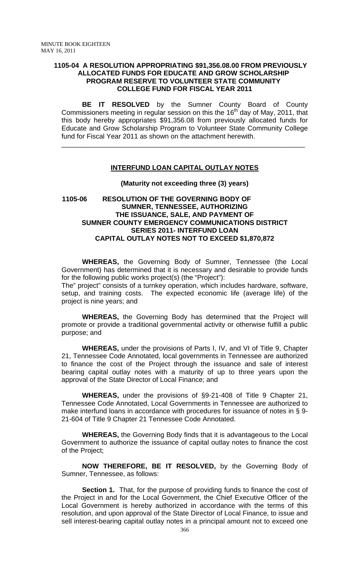### **1105-04 A RESOLUTION APPROPRIATING \$91,356.08.00 FROM PREVIOUSLY ALLOCATED FUNDS FOR EDUCATE AND GROW SCHOLARSHIP PROGRAM RESERVE TO VOLUNTEER STATE COMMUNITY COLLEGE FUND FOR FISCAL YEAR 2011**

 **BE IT RESOLVED** by the Sumner County Board of County Commissioners meeting in regular session on this the 16<sup>th</sup> day of May, 2011, that this body hereby appropriates \$91,356.08 from previously allocated funds for Educate and Grow Scholarship Program to Volunteer State Community College fund for Fiscal Year 2011 as shown on the attachment herewith.

## **INTERFUND LOAN CAPITAL OUTLAY NOTES**

\_\_\_\_\_\_\_\_\_\_\_\_\_\_\_\_\_\_\_\_\_\_\_\_\_\_\_\_\_\_\_\_\_\_\_\_\_\_\_\_\_\_\_\_\_\_\_\_\_\_\_\_\_\_\_\_\_\_\_\_\_\_\_\_

#### **(Maturity not exceeding three (3) years)**

## **1105-06 RESOLUTION OF THE GOVERNING BODY OF SUMNER, TENNESSEE, AUTHORIZING THE ISSUANCE, SALE, AND PAYMENT OF SUMNER COUNTY EMERGENCY COMMUNICATIONS DISTRICT SERIES 2011- INTERFUND LOAN CAPITAL OUTLAY NOTES NOT TO EXCEED \$1,870,872**

**WHEREAS,** the Governing Body of Sumner, Tennessee (the Local Government) has determined that it is necessary and desirable to provide funds for the following public works project(s) (the "Project"):

The" project" consists of a turnkey operation, which includes hardware, software, setup, and training costs. The expected economic life (average life) of the project is nine years; and

**WHEREAS,** the Governing Body has determined that the Project will promote or provide a traditional governmental activity or otherwise fulfill a public purpose; and

**WHEREAS,** under the provisions of Parts I, IV, and VI of Title 9, Chapter 21, Tennessee Code Annotated, local governments in Tennessee are authorized to finance the cost of the Project through the issuance and sale of interest bearing capital outlay notes with a maturity of up to three years upon the approval of the State Director of Local Finance; and

**WHEREAS,** under the provisions of §9-21-408 of Title 9 Chapter 21, Tennessee Code Annotated, Local Governments in Tennessee are authorized to make interfund loans in accordance with procedures for issuance of notes in § 9- 21-604 of Title 9 Chapter 21 Tennessee Code Annotated.

**WHEREAS,** the Governing Body finds that it is advantageous to the Local Government to authorize the issuance of capital outlay notes to finance the cost of the Project;

**NOW THEREFORE, BE IT RESOLVED,** by the Governing Body of Sumner, Tennessee, as follows:

 **Section 1.** That, for the purpose of providing funds to finance the cost of the Project in and for the Local Government, the Chief Executive Officer of the Local Government is hereby authorized in accordance with the terms of this resolution, and upon approval of the State Director of Local Finance, to issue and sell interest-bearing capital outlay notes in a principal amount not to exceed one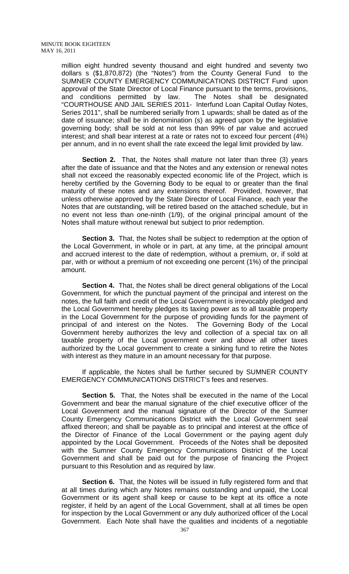million eight hundred seventy thousand and eight hundred and seventy two dollars s (\$1,870,872) (the "Notes") from the County General Fund to the SUMNER COUNTY EMERGENCY COMMUNICATIONS DISTRICT Fund upon approval of the State Director of Local Finance pursuant to the terms, provisions, and conditions permitted by law. The Notes shall be designated "COURTHOUSE AND JAIL SERIES 2011- Interfund Loan Capital Outlay Notes, Series 2011", shall be numbered serially from 1 upwards; shall be dated as of the date of issuance; shall be in denomination (s) as agreed upon by the legislative governing body; shall be sold at not less than 99% of par value and accrued interest; and shall bear interest at a rate or rates not to exceed four percent (4%) per annum, and in no event shall the rate exceed the legal limit provided by law.

**Section 2.** That, the Notes shall mature not later than three (3) years after the date of issuance and that the Notes and any extension or renewal notes shall not exceed the reasonably expected economic life of the Project, which is hereby certified by the Governing Body to be equal to or greater than the final maturity of these notes and any extensions thereof. Provided, however, that unless otherwise approved by the State Director of Local Finance, each year the Notes that are outstanding, will be retired based on the attached schedule, but in no event not less than one-ninth (1/9), of the original principal amount of the Notes shall mature without renewal but subject to prior redemption.

**Section 3.** That, the Notes shall be subject to redemption at the option of the Local Government, in whole or in part, at any time, at the principal amount and accrued interest to the date of redemption, without a premium, or, if sold at par, with or without a premium of not exceeding one percent (1%) of the principal amount.

**Section 4.** That, the Notes shall be direct general obligations of the Local Government, for which the punctual payment of the principal and interest on the notes, the full faith and credit of the Local Government is irrevocably pledged and the Local Government hereby pledges its taxing power as to all taxable property in the Local Government for the purpose of providing funds for the payment of principal of and interest on the Notes. The Governing Body of the Local Government hereby authorizes the levy and collection of a special tax on all taxable property of the Local government over and above all other taxes authorized by the Local government to create a sinking fund to retire the Notes with interest as they mature in an amount necessary for that purpose.

 If applicable, the Notes shall be further secured by SUMNER COUNTY EMERGENCY COMMUNICATIONS DISTRICT's fees and reserves.

**Section 5.** That, the Notes shall be executed in the name of the Local Government and bear the manual signature of the chief executive officer of the Local Government and the manual signature of the Director of the Sumner County Emergency Communications District with the Local Government seal affixed thereon; and shall be payable as to principal and interest at the office of the Director of Finance of the Local Government or the paying agent duly appointed by the Local Government. Proceeds of the Notes shall be deposited with the Sumner County Emergency Communications District of the Local Government and shall be paid out for the purpose of financing the Project pursuant to this Resolution and as required by law.

**Section 6.** That, the Notes will be issued in fully registered form and that at all times during which any Notes remains outstanding and unpaid, the Local Government or its agent shall keep or cause to be kept at its office a note register, if held by an agent of the Local Government, shall at all times be open for inspection by the Local Government or any duly authorized officer of the Local Government. Each Note shall have the qualities and incidents of a negotiable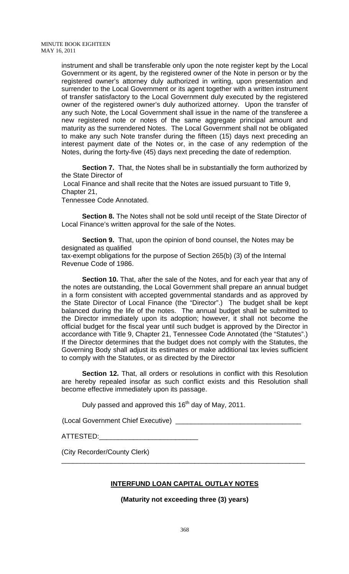instrument and shall be transferable only upon the note register kept by the Local Government or its agent, by the registered owner of the Note in person or by the registered owner's attorney duly authorized in writing, upon presentation and surrender to the Local Government or its agent together with a written instrument of transfer satisfactory to the Local Government duly executed by the registered owner of the registered owner's duly authorized attorney. Upon the transfer of any such Note, the Local Government shall issue in the name of the transferee a new registered note or notes of the same aggregate principal amount and maturity as the surrendered Notes. The Local Government shall not be obligated to make any such Note transfer during the fifteen (15) days next preceding an interest payment date of the Notes or, in the case of any redemption of the Notes, during the forty-five (45) days next preceding the date of redemption.

**Section 7.** That, the Notes shall be in substantially the form authorized by the State Director of

 Local Finance and shall recite that the Notes are issued pursuant to Title 9, Chapter 21,

Tennessee Code Annotated.

**Section 8.** The Notes shall not be sold until receipt of the State Director of Local Finance's written approval for the sale of the Notes.

**Section 9.** That, upon the opinion of bond counsel, the Notes may be designated as qualified tax-exempt obligations for the purpose of Section 265(b) (3) of the Internal

Revenue Code of 1986.

**Section 10.** That, after the sale of the Notes, and for each year that any of the notes are outstanding, the Local Government shall prepare an annual budget in a form consistent with accepted governmental standards and as approved by the State Director of Local Finance (the "Director".) The budget shall be kept balanced during the life of the notes. The annual budget shall be submitted to the Director immediately upon its adoption; however, it shall not become the official budget for the fiscal year until such budget is approved by the Director in accordance with Title 9, Chapter 21, Tennessee Code Annotated (the "Statutes".) If the Director determines that the budget does not comply with the Statutes, the Governing Body shall adjust its estimates or make additional tax levies sufficient to comply with the Statutes, or as directed by the Director

**Section 12.** That, all orders or resolutions in conflict with this Resolution are hereby repealed insofar as such conflict exists and this Resolution shall become effective immediately upon its passage.

Duly passed and approved this  $16<sup>th</sup>$  day of May, 2011.

(Local Government Chief Executive) \_\_\_\_\_

ATTESTED:

(City Recorder/County Clerk)

### **INTERFUND LOAN CAPITAL OUTLAY NOTES**

\_\_\_\_\_\_\_\_\_\_\_\_\_\_\_\_\_\_\_\_\_\_\_\_\_\_\_\_\_\_\_\_\_\_\_\_\_\_\_\_\_\_\_\_\_\_\_\_\_\_\_\_\_\_\_\_\_\_\_\_\_\_\_\_

**(Maturity not exceeding three (3) years)**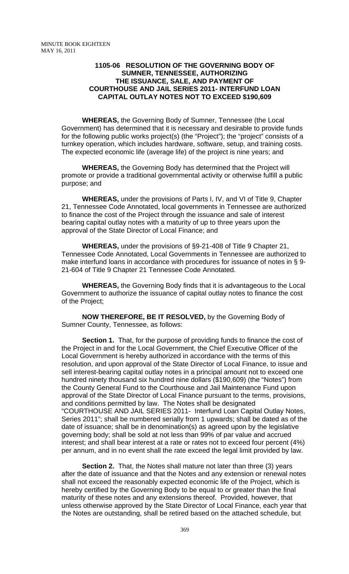### **1105-06 RESOLUTION OF THE GOVERNING BODY OF SUMNER, TENNESSEE, AUTHORIZING THE ISSUANCE, SALE, AND PAYMENT OF COURTHOUSE AND JAIL SERIES 2011- INTERFUND LOAN CAPITAL OUTLAY NOTES NOT TO EXCEED \$190,609**

**WHEREAS,** the Governing Body of Sumner, Tennessee (the Local Government) has determined that it is necessary and desirable to provide funds for the following public works project(s) (the "Project"); the "project" consists of a turnkey operation, which includes hardware, software, setup, and training costs. The expected economic life (average life) of the project is nine years; and

**WHEREAS,** the Governing Body has determined that the Project will promote or provide a traditional governmental activity or otherwise fulfill a public purpose; and

**WHEREAS,** under the provisions of Parts I, IV, and VI of Title 9, Chapter 21, Tennessee Code Annotated, local governments in Tennessee are authorized to finance the cost of the Project through the issuance and sale of interest bearing capital outlay notes with a maturity of up to three years upon the approval of the State Director of Local Finance; and

**WHEREAS,** under the provisions of §9-21-408 of Title 9 Chapter 21, Tennessee Code Annotated, Local Governments in Tennessee are authorized to make interfund loans in accordance with procedures for issuance of notes in § 9- 21-604 of Title 9 Chapter 21 Tennessee Code Annotated.

**WHEREAS,** the Governing Body finds that it is advantageous to the Local Government to authorize the issuance of capital outlay notes to finance the cost of the Project;

 **NOW THEREFORE, BE IT RESOLVED,** by the Governing Body of Sumner County, Tennessee, as follows:

**Section 1.** That, for the purpose of providing funds to finance the cost of the Project in and for the Local Government, the Chief Executive Officer of the Local Government is hereby authorized in accordance with the terms of this resolution, and upon approval of the State Director of Local Finance, to issue and sell interest-bearing capital outlay notes in a principal amount not to exceed one hundred ninety thousand six hundred nine dollars (\$190,609) (the "Notes") from the County General Fund to the Courthouse and Jail Maintenance Fund upon approval of the State Director of Local Finance pursuant to the terms, provisions, and conditions permitted by law. The Notes shall be designated "COURTHOUSE AND JAIL SERIES 2011- Interfund Loan Capital Outlay Notes, Series 2011"; shall be numbered serially from 1 upwards; shall be dated as of the date of issuance; shall be in denomination(s) as agreed upon by the legislative governing body; shall be sold at not less than 99% of par value and accrued interest; and shall bear interest at a rate or rates not to exceed four percent (4%) per annum, and in no event shall the rate exceed the legal limit provided by law.

**Section 2.** That, the Notes shall mature not later than three (3) years after the date of issuance and that the Notes and any extension or renewal notes shall not exceed the reasonably expected economic life of the Project, which is hereby certified by the Governing Body to be equal to or greater than the final maturity of these notes and any extensions thereof. Provided, however, that unless otherwise approved by the State Director of Local Finance, each year that the Notes are outstanding, shall be retired based on the attached schedule, but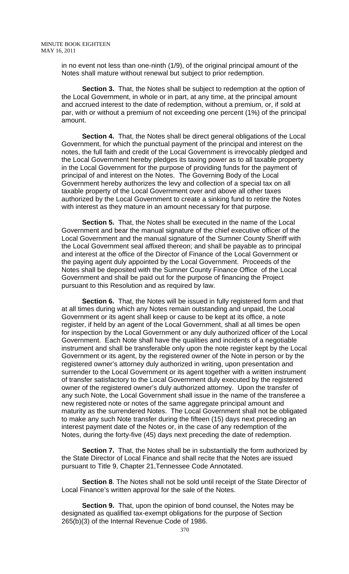in no event not less than one-ninth (1/9), of the original principal amount of the Notes shall mature without renewal but subject to prior redemption.

**Section 3.** That, the Notes shall be subject to redemption at the option of the Local Government, in whole or in part, at any time, at the principal amount and accrued interest to the date of redemption, without a premium, or, if sold at par, with or without a premium of not exceeding one percent (1%) of the principal amount.

**Section 4.** That, the Notes shall be direct general obligations of the Local Government, for which the punctual payment of the principal and interest on the notes, the full faith and credit of the Local Government is irrevocably pledged and the Local Government hereby pledges its taxing power as to all taxable property in the Local Government for the purpose of providing funds for the payment of principal of and interest on the Notes. The Governing Body of the Local Government hereby authorizes the levy and collection of a special tax on all taxable property of the Local Government over and above all other taxes authorized by the Local Government to create a sinking fund to retire the Notes with interest as they mature in an amount necessary for that purpose.

**Section 5.** That, the Notes shall be executed in the name of the Local Government and bear the manual signature of the chief executive officer of the Local Government and the manual signature of the Sumner County Sheriff with the Local Government seal affixed thereon; and shall be payable as to principal and interest at the office of the Director of Finance of the Local Government or the paying agent duly appointed by the Local Government. Proceeds of the Notes shall be deposited with the Sumner County Finance Office of the Local Government and shall be paid out for the purpose of financing the Project pursuant to this Resolution and as required by law.

**Section 6.** That, the Notes will be issued in fully registered form and that at all times during which any Notes remain outstanding and unpaid, the Local Government or its agent shall keep or cause to be kept at its office, a note register, if held by an agent of the Local Government, shall at all times be open for inspection by the Local Government or any duly authorized officer of the Local Government. Each Note shall have the qualities and incidents of a negotiable instrument and shall be transferable only upon the note register kept by the Local Government or its agent, by the registered owner of the Note in person or by the registered owner's attorney duly authorized in writing, upon presentation and surrender to the Local Government or its agent together with a written instrument of transfer satisfactory to the Local Government duly executed by the registered owner of the registered owner's duly authorized attorney. Upon the transfer of any such Note, the Local Government shall issue in the name of the transferee a new registered note or notes of the same aggregate principal amount and maturity as the surrendered Notes. The Local Government shall not be obligated to make any such Note transfer during the fifteen (15) days next preceding an interest payment date of the Notes or, in the case of any redemption of the Notes, during the forty-five (45) days next preceding the date of redemption.

**Section 7.** That, the Notes shall be in substantially the form authorized by the State Director of Local Finance and shall recite that the Notes are issued pursuant to Title 9, Chapter 21,Tennessee Code Annotated.

**Section 8**. The Notes shall not be sold until receipt of the State Director of Local Finance's written approval for the sale of the Notes.

**Section 9.** That, upon the opinion of bond counsel, the Notes may be designated as qualified tax-exempt obligations for the purpose of Section 265(b)(3) of the Internal Revenue Code of 1986.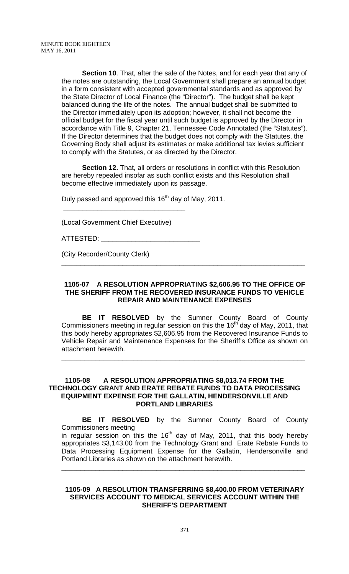**Section 10**. That, after the sale of the Notes, and for each year that any of the notes are outstanding, the Local Government shall prepare an annual budget in a form consistent with accepted governmental standards and as approved by the State Director of Local Finance (the "Director"). The budget shall be kept balanced during the life of the notes. The annual budget shall be submitted to the Director immediately upon its adoption; however, it shall not become the official budget for the fiscal year until such budget is approved by the Director in accordance with Title 9, Chapter 21, Tennessee Code Annotated (the "Statutes"). If the Director determines that the budget does not comply with the Statutes, the Governing Body shall adjust its estimates or make additional tax levies sufficient to comply with the Statutes, or as directed by the Director.

**Section 12.** That, all orders or resolutions in conflict with this Resolution are hereby repealed insofar as such conflict exists and this Resolution shall become effective immediately upon its passage.

Duly passed and approved this  $16<sup>th</sup>$  day of May, 2011.

(Local Government Chief Executive)

\_\_\_\_\_\_\_\_\_\_\_\_\_\_\_\_\_\_\_\_\_\_\_\_\_\_\_\_\_\_\_\_

ATTESTED:  $\_$ 

(City Recorder/County Clerk)

### **1105-07 A RESOLUTION APPROPRIATING \$2,606.95 TO THE OFFICE OF THE SHERIFF FROM THE RECOVERED INSURANCE FUNDS TO VEHICLE REPAIR AND MAINTENANCE EXPENSES**

\_\_\_\_\_\_\_\_\_\_\_\_\_\_\_\_\_\_\_\_\_\_\_\_\_\_\_\_\_\_\_\_\_\_\_\_\_\_\_\_\_\_\_\_\_\_\_\_\_\_\_\_\_\_\_\_\_\_\_\_\_\_\_\_

**BE IT RESOLVED** by the Sumner County Board of County Commissioners meeting in regular session on this the 16<sup>th</sup> day of May, 2011, that this body hereby appropriates \$2,606.95 from the Recovered Insurance Funds to Vehicle Repair and Maintenance Expenses for the Sheriff's Office as shown on attachment herewith.

\_\_\_\_\_\_\_\_\_\_\_\_\_\_\_\_\_\_\_\_\_\_\_\_\_\_\_\_\_\_\_\_\_\_\_\_\_\_\_\_\_\_\_\_\_\_\_\_\_\_\_\_\_\_\_\_\_\_\_\_\_\_\_\_

### **1105-08 A RESOLUTION APPROPRIATING \$8,013.74 FROM THE TECHNOLOGY GRANT AND ERATE REBATE FUNDS TO DATA PROCESSING EQUIPMENT EXPENSE FOR THE GALLATIN, HENDERSONVILLE AND PORTLAND LIBRARIES**

 **BE IT RESOLVED** by the Sumner County Board of County Commissioners meeting in regular session on this the  $16<sup>th</sup>$  day of May, 2011, that this body hereby appropriates \$3,143.00 from the Technology Grant and Erate Rebate Funds to Data Processing Equipment Expense for the Gallatin, Hendersonville and Portland Libraries as shown on the attachment herewith.

\_\_\_\_\_\_\_\_\_\_\_\_\_\_\_\_\_\_\_\_\_\_\_\_\_\_\_\_\_\_\_\_\_\_\_\_\_\_\_\_\_\_\_\_\_\_\_\_\_\_\_\_\_\_\_\_\_\_\_\_\_\_\_\_

#### **1105-09 A RESOLUTION TRANSFERRING \$8,400.00 FROM VETERINARY SERVICES ACCOUNT TO MEDICAL SERVICES ACCOUNT WITHIN THE SHERIFF'S DEPARTMENT**